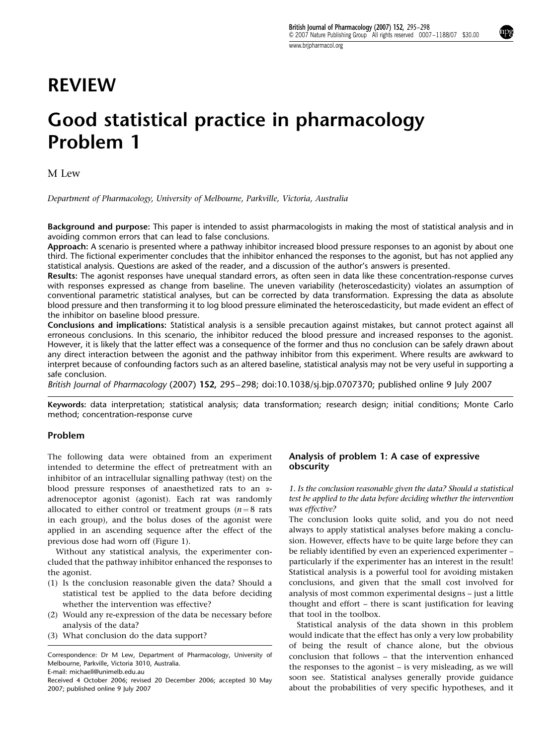## REVIEW

# Good statistical practice in pharmacology Problem 1

M Lew

Department of Pharmacology, University of Melbourne, Parkville, Victoria, Australia

Background and purpose: This paper is intended to assist pharmacologists in making the most of statistical analysis and in avoiding common errors that can lead to false conclusions.

Approach: A scenario is presented where a pathway inhibitor increased blood pressure responses to an agonist by about one third. The fictional experimenter concludes that the inhibitor enhanced the responses to the agonist, but has not applied any statistical analysis. Questions are asked of the reader, and a discussion of the author's answers is presented.

Results: The agonist responses have unequal standard errors, as often seen in data like these concentration-response curves with responses expressed as change from baseline. The uneven variability (heteroscedasticity) violates an assumption of conventional parametric statistical analyses, but can be corrected by data transformation. Expressing the data as absolute blood pressure and then transforming it to log blood pressure eliminated the heteroscedasticity, but made evident an effect of the inhibitor on baseline blood pressure.

Conclusions and implications: Statistical analysis is a sensible precaution against mistakes, but cannot protect against all erroneous conclusions. In this scenario, the inhibitor reduced the blood pressure and increased responses to the agonist. However, it is likely that the latter effect was a consequence of the former and thus no conclusion can be safely drawn about any direct interaction between the agonist and the pathway inhibitor from this experiment. Where results are awkward to interpret because of confounding factors such as an altered baseline, statistical analysis may not be very useful in supporting a safe conclusion.

British Journal of Pharmacology (2007) 152, 295–298; doi:10.1038/sj.bjp.0707370; published online 9 July 2007

Keywords: data interpretation; statistical analysis; data transformation; research design; initial conditions; Monte Carlo method; concentration-response curve

#### Problem

The following data were obtained from an experiment intended to determine the effect of pretreatment with an inhibitor of an intracellular signalling pathway (test) on the blood pressure responses of anaesthetized rats to an aadrenoceptor agonist (agonist). Each rat was randomly allocated to either control or treatment groups  $(n = 8$  rats in each group), and the bolus doses of the agonist were applied in an ascending sequence after the effect of the previous dose had worn off (Figure 1).

Without any statistical analysis, the experimenter concluded that the pathway inhibitor enhanced the responses to the agonist.

- (1) Is the conclusion reasonable given the data? Should a statistical test be applied to the data before deciding whether the intervention was effective?
- (2) Would any re-expression of the data be necessary before analysis of the data?
- (3) What conclusion do the data support?

Correspondence: Dr M Lew, Department of Pharmacology, University of Melbourne, Parkville, Victoria 3010, Australia. E-mail: michaell@unimelb.edu.au

#### Analysis of problem 1: A case of expressive obscurity

1. Is the conclusion reasonable given the data? Should a statistical test be applied to the data before deciding whether the intervention was effective?

The conclusion looks quite solid, and you do not need always to apply statistical analyses before making a conclusion. However, effects have to be quite large before they can be reliably identified by even an experienced experimenter – particularly if the experimenter has an interest in the result! Statistical analysis is a powerful tool for avoiding mistaken conclusions, and given that the small cost involved for analysis of most common experimental designs – just a little thought and effort – there is scant justification for leaving that tool in the toolbox.

Statistical analysis of the data shown in this problem would indicate that the effect has only a very low probability of being the result of chance alone, but the obvious conclusion that follows – that the intervention enhanced the responses to the agonist – is very misleading, as we will soon see. Statistical analyses generally provide guidance about the probabilities of very specific hypotheses, and it

Received 4 October 2006; revised 20 December 2006; accepted 30 May 2007; published online 9 July 2007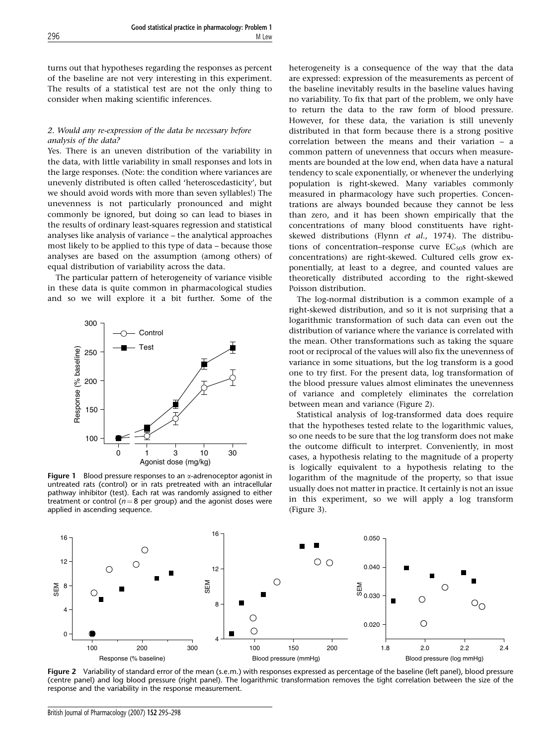turns out that hypotheses regarding the responses as percent of the baseline are not very interesting in this experiment. The results of a statistical test are not the only thing to consider when making scientific inferences.

#### 2. Would any re-expression of the data be necessary before analysis of the data?

Yes. There is an uneven distribution of the variability in the data, with little variability in small responses and lots in the large responses. (Note: the condition where variances are unevenly distributed is often called 'heteroscedasticity', but we should avoid words with more than seven syllables!) The unevenness is not particularly pronounced and might commonly be ignored, but doing so can lead to biases in the results of ordinary least-squares regression and statistical analyses like analysis of variance – the analytical approaches most likely to be applied to this type of data – because those analyses are based on the assumption (among others) of equal distribution of variability across the data.

The particular pattern of heterogeneity of variance visible in these data is quite common in pharmacological studies and so we will explore it a bit further. Some of the



**Figure 1** Blood pressure responses to an  $\alpha$ -adrenoceptor agonist in untreated rats (control) or in rats pretreated with an intracellular pathway inhibitor (test). Each rat was randomly assigned to either treatment or control ( $n = 8$  per group) and the agonist doses were applied in ascending sequence.

heterogeneity is a consequence of the way that the data are expressed: expression of the measurements as percent of the baseline inevitably results in the baseline values having no variability. To fix that part of the problem, we only have to return the data to the raw form of blood pressure. However, for these data, the variation is still unevenly distributed in that form because there is a strong positive correlation between the means and their variation – a common pattern of unevenness that occurs when measurements are bounded at the low end, when data have a natural tendency to scale exponentially, or whenever the underlying population is right-skewed. Many variables commonly measured in pharmacology have such properties. Concentrations are always bounded because they cannot be less than zero, and it has been shown empirically that the concentrations of many blood constituents have rightskewed distributions (Flynn et al., 1974). The distributions of concentration–response curve  $EC_{50}$ s (which are concentrations) are right-skewed. Cultured cells grow exponentially, at least to a degree, and counted values are theoretically distributed according to the right-skewed Poisson distribution.

The log-normal distribution is a common example of a right-skewed distribution, and so it is not surprising that a logarithmic transformation of such data can even out the distribution of variance where the variance is correlated with the mean. Other transformations such as taking the square root or reciprocal of the values will also fix the unevenness of variance in some situations, but the log transform is a good one to try first. For the present data, log transformation of the blood pressure values almost eliminates the unevenness of variance and completely eliminates the correlation between mean and variance (Figure 2).

Statistical analysis of log-transformed data does require that the hypotheses tested relate to the logarithmic values, so one needs to be sure that the log transform does not make the outcome difficult to interpret. Conveniently, in most cases, a hypothesis relating to the magnitude of a property is logically equivalent to a hypothesis relating to the logarithm of the magnitude of the property, so that issue usually does not matter in practice. It certainly is not an issue in this experiment, so we will apply a log transform (Figure 3).



Figure 2 Variability of standard error of the mean (s.e.m.) with responses expressed as percentage of the baseline (left panel), blood pressure (centre panel) and log blood pressure (right panel). The logarithmic transformation removes the tight correlation between the size of the response and the variability in the response measurement.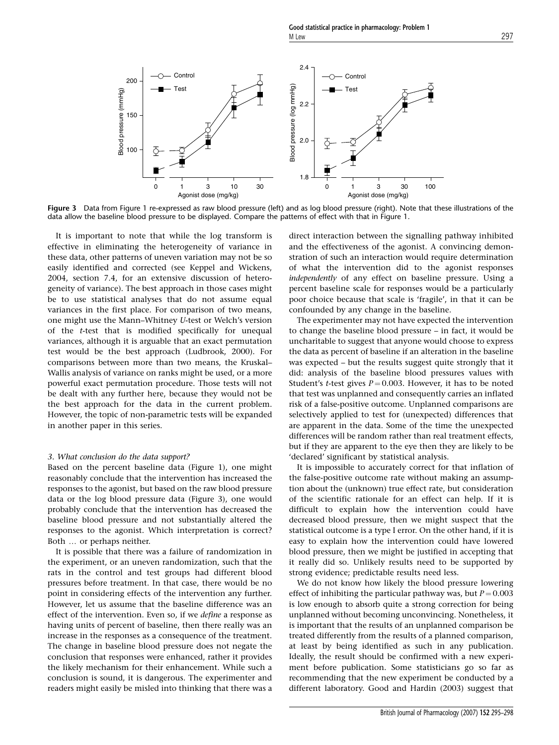

Figure 3 Data from Figure 1 re-expressed as raw blood pressure (left) and as log blood pressure (right). Note that these illustrations of the data allow the baseline blood pressure to be displayed. Compare the patterns of effect with that in Figure 1.

It is important to note that while the log transform is effective in eliminating the heterogeneity of variance in these data, other patterns of uneven variation may not be so easily identified and corrected (see Keppel and Wickens, 2004, section 7.4, for an extensive discussion of heterogeneity of variance). The best approach in those cases might be to use statistical analyses that do not assume equal variances in the first place. For comparison of two means, one might use the Mann–Whitney U-test or Welch's version of the t-test that is modified specifically for unequal variances, although it is arguable that an exact permutation test would be the best approach (Ludbrook, 2000). For comparisons between more than two means, the Kruskal– Wallis analysis of variance on ranks might be used, or a more powerful exact permutation procedure. Those tests will not be dealt with any further here, because they would not be the best approach for the data in the current problem. However, the topic of non-parametric tests will be expanded in another paper in this series.

#### 3. What conclusion do the data support?

Based on the percent baseline data (Figure 1), one might reasonably conclude that the intervention has increased the responses to the agonist, but based on the raw blood pressure data or the log blood pressure data (Figure 3), one would probably conclude that the intervention has decreased the baseline blood pressure and not substantially altered the responses to the agonist. Which interpretation is correct? Both ... or perhaps neither.

It is possible that there was a failure of randomization in the experiment, or an uneven randomization, such that the rats in the control and test groups had different blood pressures before treatment. In that case, there would be no point in considering effects of the intervention any further. However, let us assume that the baseline difference was an effect of the intervention. Even so, if we *define* a response as having units of percent of baseline, then there really was an increase in the responses as a consequence of the treatment. The change in baseline blood pressure does not negate the conclusion that responses were enhanced, rather it provides the likely mechanism for their enhancement. While such a conclusion is sound, it is dangerous. The experimenter and readers might easily be misled into thinking that there was a

direct interaction between the signalling pathway inhibited and the effectiveness of the agonist. A convincing demonstration of such an interaction would require determination of what the intervention did to the agonist responses independently of any effect on baseline pressure. Using a percent baseline scale for responses would be a particularly poor choice because that scale is 'fragile', in that it can be confounded by any change in the baseline.

The experimenter may not have expected the intervention to change the baseline blood pressure – in fact, it would be uncharitable to suggest that anyone would choose to express the data as percent of baseline if an alteration in the baseline was expected – but the results suggest quite strongly that it did: analysis of the baseline blood pressures values with Student's *t*-test gives  $P = 0.003$ . However, it has to be noted that test was unplanned and consequently carries an inflated risk of a false-positive outcome. Unplanned comparisons are selectively applied to test for (unexpected) differences that are apparent in the data. Some of the time the unexpected differences will be random rather than real treatment effects, but if they are apparent to the eye then they are likely to be 'declared' significant by statistical analysis.

It is impossible to accurately correct for that inflation of the false-positive outcome rate without making an assumption about the (unknown) true effect rate, but consideration of the scientific rationale for an effect can help. If it is difficult to explain how the intervention could have decreased blood pressure, then we might suspect that the statistical outcome is a type I error. On the other hand, if it is easy to explain how the intervention could have lowered blood pressure, then we might be justified in accepting that it really did so. Unlikely results need to be supported by strong evidence; predictable results need less.

We do not know how likely the blood pressure lowering effect of inhibiting the particular pathway was, but  $P = 0.003$ is low enough to absorb quite a strong correction for being unplanned without becoming unconvincing. Nonetheless, it is important that the results of an unplanned comparison be treated differently from the results of a planned comparison, at least by being identified as such in any publication. Ideally, the result should be confirmed with a new experiment before publication. Some statisticians go so far as recommending that the new experiment be conducted by a different laboratory. Good and Hardin (2003) suggest that